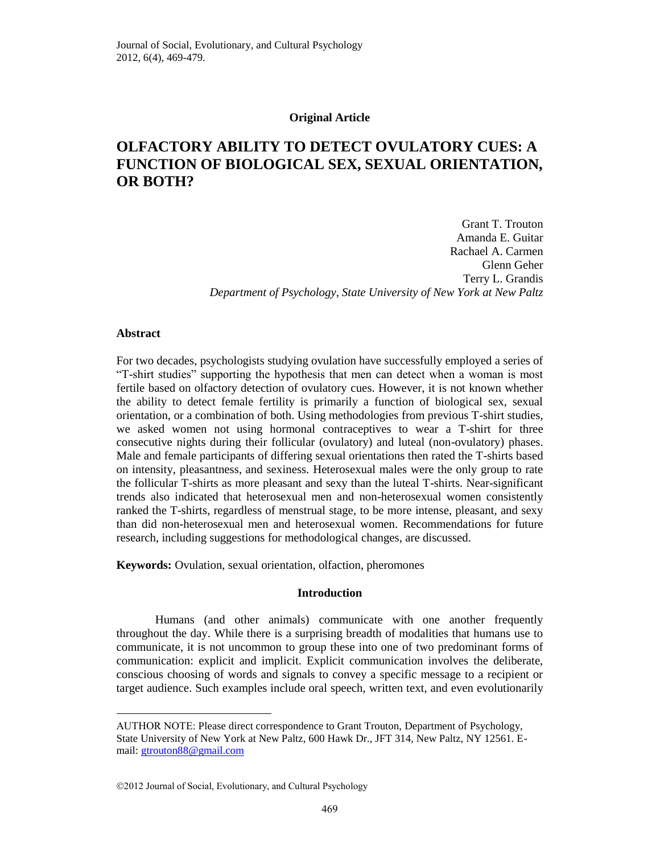## **Original Article**

# **OLFACTORY ABILITY TO DETECT OVULATORY CUES: A FUNCTION OF BIOLOGICAL SEX, SEXUAL ORIENTATION, OR BOTH?**

**\*** Grant T. Trouton Amanda E. Guitar Rachael A. Carmen Glenn Geher Terry L. Grandis *Department of Psychology, State University of New York at New Paltz*

# **Abstract**

 $\overline{a}$ 

For two decades, psychologists studying ovulation have successfully employed a series of "T-shirt studies" supporting the hypothesis that men can detect when a woman is most fertile based on olfactory detection of ovulatory cues. However, it is not known whether the ability to detect female fertility is primarily a function of biological sex, sexual orientation, or a combination of both. Using methodologies from previous T-shirt studies, we asked women not using hormonal contraceptives to wear a T-shirt for three consecutive nights during their follicular (ovulatory) and luteal (non-ovulatory) phases. Male and female participants of differing sexual orientations then rated the T-shirts based on intensity, pleasantness, and sexiness. Heterosexual males were the only group to rate the follicular T-shirts as more pleasant and sexy than the luteal T-shirts. Near-significant trends also indicated that heterosexual men and non-heterosexual women consistently ranked the T-shirts, regardless of menstrual stage, to be more intense, pleasant, and sexy than did non-heterosexual men and heterosexual women. Recommendations for future research, including suggestions for methodological changes, are discussed.

**Keywords:** Ovulation, sexual orientation, olfaction, pheromones

# **Introduction**

Humans (and other animals) communicate with one another frequently throughout the day. While there is a surprising breadth of modalities that humans use to communicate, it is not uncommon to group these into one of two predominant forms of communication: explicit and implicit. Explicit communication involves the deliberate, conscious choosing of words and signals to convey a specific message to a recipient or target audience. Such examples include oral speech, written text, and even evolutionarily

AUTHOR NOTE: Please direct correspondence to Grant Trouton, Department of Psychology, State University of New York at New Paltz, 600 Hawk Dr., JFT 314, New Paltz, NY 12561. Email: [gtrouton88@gmail.com](mailto:gtrouton88@gmail.com)

<sup>2012</sup> Journal of Social, Evolutionary, and Cultural Psychology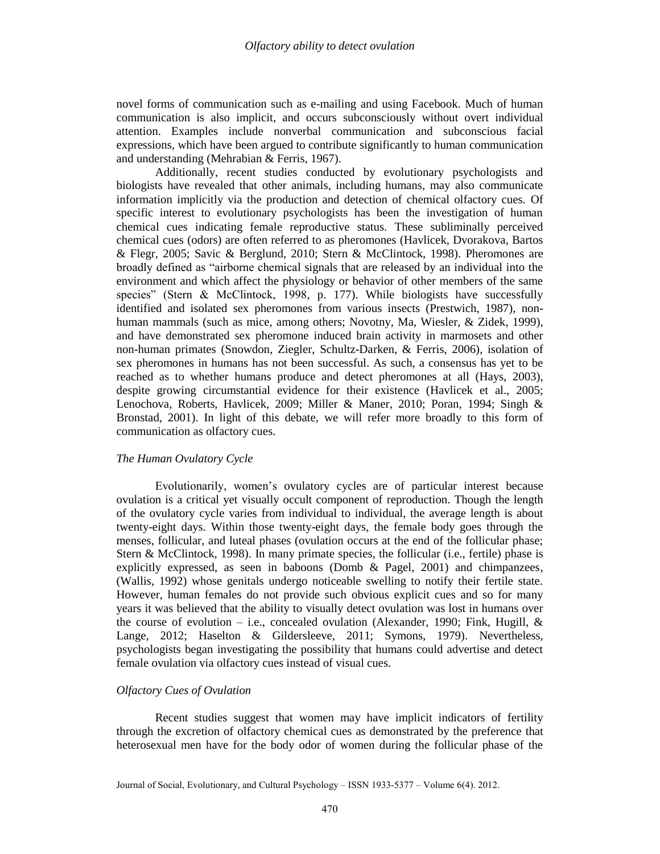novel forms of communication such as e-mailing and using Facebook. Much of human communication is also implicit, and occurs subconsciously without overt individual attention. Examples include nonverbal communication and subconscious facial expressions, which have been argued to contribute significantly to human communication and understanding (Mehrabian & Ferris, 1967).

Additionally, recent studies conducted by evolutionary psychologists and biologists have revealed that other animals, including humans, may also communicate information implicitly via the production and detection of chemical olfactory cues. Of specific interest to evolutionary psychologists has been the investigation of human chemical cues indicating female reproductive status. These subliminally perceived chemical cues (odors) are often referred to as pheromones (Havlicek, Dvorakova, Bartos & Flegr, 2005; Savic & Berglund, 2010; Stern & McClintock, 1998). Pheromones are broadly defined as "airborne chemical signals that are released by an individual into the environment and which affect the physiology or behavior of other members of the same species" (Stern & McClintock, 1998, p. 177). While biologists have successfully identified and isolated sex pheromones from various insects (Prestwich, 1987), nonhuman mammals (such as mice, among others; Novotny, Ma, Wiesler, & Zidek, 1999), and have demonstrated sex pheromone induced brain activity in marmosets and other non-human primates (Snowdon, Ziegler, Schultz-Darken, & Ferris, 2006), isolation of sex pheromones in humans has not been successful. As such, a consensus has yet to be reached as to whether humans produce and detect pheromones at all (Hays, 2003), despite growing circumstantial evidence for their existence (Havlicek et al., 2005; Lenochova, Roberts, Havlicek, 2009; Miller & Maner, 2010; Poran, 1994; Singh & Bronstad, 2001). In light of this debate, we will refer more broadly to this form of communication as olfactory cues.

# *The Human Ovulatory Cycle*

Evolutionarily, women's ovulatory cycles are of particular interest because ovulation is a critical yet visually occult component of reproduction. Though the length of the ovulatory cycle varies from individual to individual, the average length is about twenty-eight days. Within those twenty-eight days, the female body goes through the menses, follicular, and luteal phases (ovulation occurs at the end of the follicular phase; Stern & McClintock, 1998). In many primate species, the follicular (i.e., fertile) phase is explicitly expressed, as seen in baboons (Domb & Pagel, 2001) and chimpanzees, (Wallis, 1992) whose genitals undergo noticeable swelling to notify their fertile state. However, human females do not provide such obvious explicit cues and so for many years it was believed that the ability to visually detect ovulation was lost in humans over the course of evolution – i.e., concealed ovulation (Alexander, 1990; Fink, Hugill,  $\&$ Lange, 2012; Haselton & Gildersleeve, 2011; Symons, 1979). Nevertheless, psychologists began investigating the possibility that humans could advertise and detect female ovulation via olfactory cues instead of visual cues.

# *Olfactory Cues of Ovulation*

Recent studies suggest that women may have implicit indicators of fertility through the excretion of olfactory chemical cues as demonstrated by the preference that heterosexual men have for the body odor of women during the follicular phase of the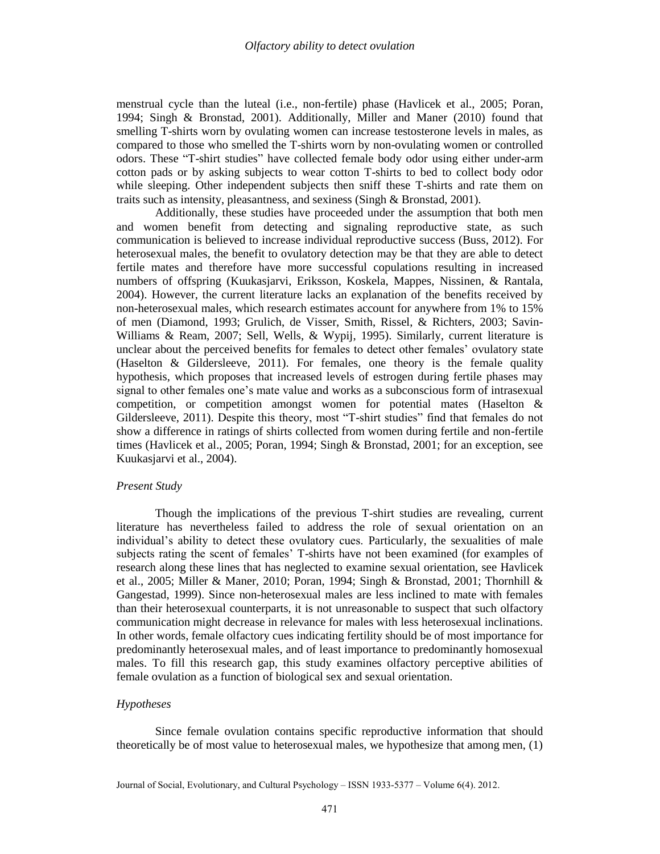menstrual cycle than the luteal (i.e., non-fertile) phase (Havlicek et al., 2005; Poran, 1994; Singh & Bronstad, 2001). Additionally, Miller and Maner (2010) found that smelling T-shirts worn by ovulating women can increase testosterone levels in males, as compared to those who smelled the T-shirts worn by non-ovulating women or controlled odors. These "T-shirt studies" have collected female body odor using either under-arm cotton pads or by asking subjects to wear cotton T-shirts to bed to collect body odor while sleeping. Other independent subjects then sniff these T-shirts and rate them on traits such as intensity, pleasantness, and sexiness (Singh & Bronstad, 2001).

Additionally, these studies have proceeded under the assumption that both men and women benefit from detecting and signaling reproductive state, as such communication is believed to increase individual reproductive success (Buss, 2012). For heterosexual males, the benefit to ovulatory detection may be that they are able to detect fertile mates and therefore have more successful copulations resulting in increased numbers of offspring (Kuukasjarvi, Eriksson, Koskela, Mappes, Nissinen, & Rantala, 2004). However, the current literature lacks an explanation of the benefits received by non-heterosexual males, which research estimates account for anywhere from 1% to 15% of men (Diamond, 1993; Grulich, de Visser, Smith, Rissel, & Richters, 2003; Savin-Williams & Ream, 2007; Sell, Wells, & Wypij, 1995). Similarly, current literature is unclear about the perceived benefits for females to detect other females' ovulatory state (Haselton & Gildersleeve, 2011). For females, one theory is the female quality hypothesis, which proposes that increased levels of estrogen during fertile phases may signal to other females one's mate value and works as a subconscious form of intrasexual competition, or competition amongst women for potential mates (Haselton & Gildersleeve, 2011). Despite this theory, most "T-shirt studies" find that females do not show a difference in ratings of shirts collected from women during fertile and non-fertile times (Havlicek et al., 2005; Poran, 1994; Singh & Bronstad, 2001; for an exception, see Kuukasjarvi et al., 2004).

# *Present Study*

Though the implications of the previous T-shirt studies are revealing, current literature has nevertheless failed to address the role of sexual orientation on an individual's ability to detect these ovulatory cues. Particularly, the sexualities of male subjects rating the scent of females' T-shirts have not been examined (for examples of research along these lines that has neglected to examine sexual orientation, see Havlicek et al., 2005; Miller & Maner, 2010; Poran, 1994; Singh & Bronstad, 2001; Thornhill & Gangestad, 1999). Since non-heterosexual males are less inclined to mate with females than their heterosexual counterparts, it is not unreasonable to suspect that such olfactory communication might decrease in relevance for males with less heterosexual inclinations. In other words, female olfactory cues indicating fertility should be of most importance for predominantly heterosexual males, and of least importance to predominantly homosexual males. To fill this research gap, this study examines olfactory perceptive abilities of female ovulation as a function of biological sex and sexual orientation.

# *Hypotheses*

Since female ovulation contains specific reproductive information that should theoretically be of most value to heterosexual males, we hypothesize that among men, (1)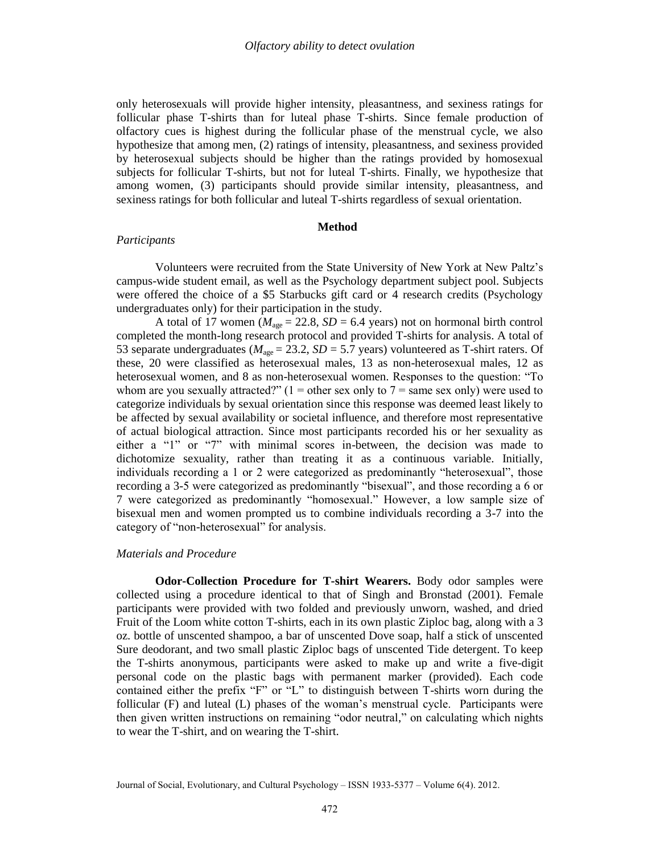only heterosexuals will provide higher intensity, pleasantness, and sexiness ratings for follicular phase T-shirts than for luteal phase T-shirts. Since female production of olfactory cues is highest during the follicular phase of the menstrual cycle, we also hypothesize that among men, (2) ratings of intensity, pleasantness, and sexiness provided by heterosexual subjects should be higher than the ratings provided by homosexual subjects for follicular T-shirts, but not for luteal T-shirts. Finally, we hypothesize that among women, (3) participants should provide similar intensity, pleasantness, and sexiness ratings for both follicular and luteal T-shirts regardless of sexual orientation.

# **Method**

# *Participants*

Volunteers were recruited from the State University of New York at New Paltz's campus-wide student email, as well as the Psychology department subject pool. Subjects were offered the choice of a \$5 Starbucks gift card or 4 research credits (Psychology undergraduates only) for their participation in the study.

A total of 17 women ( $M_{\text{age}} = 22.8$ ,  $SD = 6.4$  years) not on hormonal birth control completed the month-long research protocol and provided T-shirts for analysis. A total of 53 separate undergraduates ( $M_{\text{age}} = 23.2$ ,  $SD = 5.7$  years) volunteered as T-shirt raters. Of these, 20 were classified as heterosexual males, 13 as non-heterosexual males, 12 as heterosexual women, and 8 as non-heterosexual women. Responses to the question: "To whom are you sexually attracted?"  $(1 =$  other sex only to  $7 =$  same sex only) were used to categorize individuals by sexual orientation since this response was deemed least likely to be affected by sexual availability or societal influence, and therefore most representative of actual biological attraction. Since most participants recorded his or her sexuality as either a "1" or "7" with minimal scores in-between, the decision was made to dichotomize sexuality, rather than treating it as a continuous variable. Initially, individuals recording a 1 or 2 were categorized as predominantly "heterosexual", those recording a 3-5 were categorized as predominantly "bisexual", and those recording a 6 or 7 were categorized as predominantly "homosexual." However, a low sample size of bisexual men and women prompted us to combine individuals recording a 3-7 into the category of "non-heterosexual" for analysis.

# *Materials and Procedure*

**Odor-Collection Procedure for T-shirt Wearers.** Body odor samples were collected using a procedure identical to that of Singh and Bronstad (2001). Female participants were provided with two folded and previously unworn, washed, and dried Fruit of the Loom white cotton T-shirts, each in its own plastic Ziploc bag, along with a 3 oz. bottle of unscented shampoo, a bar of unscented Dove soap, half a stick of unscented Sure deodorant, and two small plastic Ziploc bags of unscented Tide detergent. To keep the T-shirts anonymous, participants were asked to make up and write a five-digit personal code on the plastic bags with permanent marker (provided). Each code contained either the prefix "F" or "L" to distinguish between T-shirts worn during the follicular (F) and luteal (L) phases of the woman's menstrual cycle. Participants were then given written instructions on remaining "odor neutral," on calculating which nights to wear the T-shirt, and on wearing the T-shirt.

Journal of Social, Evolutionary, and Cultural Psychology – ISSN 1933-5377 – Volume 6(4). 2012.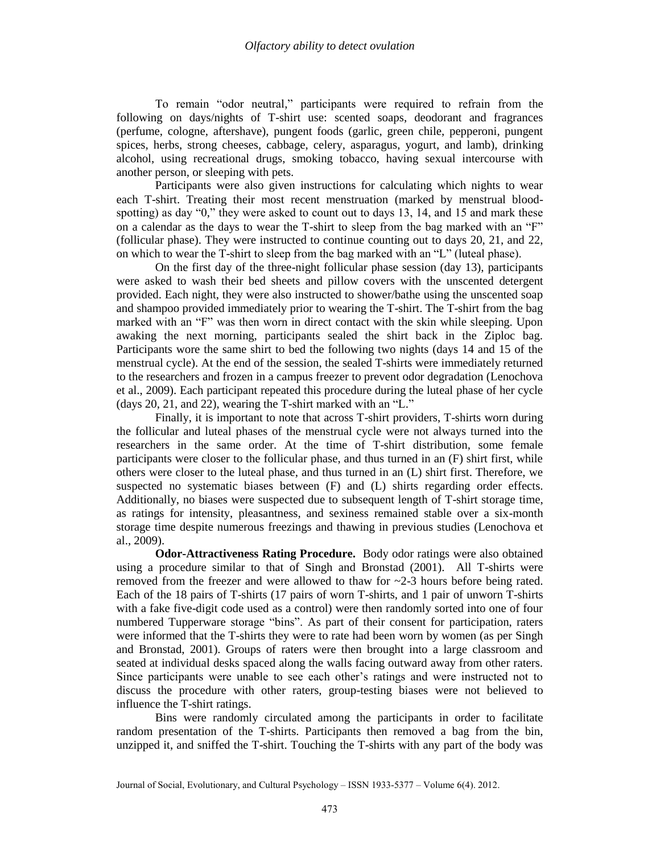To remain "odor neutral," participants were required to refrain from the following on days/nights of T-shirt use: scented soaps, deodorant and fragrances (perfume, cologne, aftershave), pungent foods (garlic, green chile, pepperoni, pungent spices, herbs, strong cheeses, cabbage, celery, asparagus, yogurt, and lamb), drinking alcohol, using recreational drugs, smoking tobacco, having sexual intercourse with another person, or sleeping with pets.

Participants were also given instructions for calculating which nights to wear each T-shirt. Treating their most recent menstruation (marked by menstrual bloodspotting) as day "0," they were asked to count out to days 13, 14, and 15 and mark these on a calendar as the days to wear the T-shirt to sleep from the bag marked with an "F" (follicular phase). They were instructed to continue counting out to days 20, 21, and 22, on which to wear the T-shirt to sleep from the bag marked with an "L" (luteal phase).

On the first day of the three-night follicular phase session (day 13), participants were asked to wash their bed sheets and pillow covers with the unscented detergent provided. Each night, they were also instructed to shower/bathe using the unscented soap and shampoo provided immediately prior to wearing the T-shirt. The T-shirt from the bag marked with an "F" was then worn in direct contact with the skin while sleeping. Upon awaking the next morning, participants sealed the shirt back in the Ziploc bag. Participants wore the same shirt to bed the following two nights (days 14 and 15 of the menstrual cycle). At the end of the session, the sealed T-shirts were immediately returned to the researchers and frozen in a campus freezer to prevent odor degradation (Lenochova et al., 2009). Each participant repeated this procedure during the luteal phase of her cycle (days 20, 21, and 22), wearing the T-shirt marked with an "L."

Finally, it is important to note that across T-shirt providers, T-shirts worn during the follicular and luteal phases of the menstrual cycle were not always turned into the researchers in the same order. At the time of T-shirt distribution, some female participants were closer to the follicular phase, and thus turned in an (F) shirt first, while others were closer to the luteal phase, and thus turned in an (L) shirt first. Therefore, we suspected no systematic biases between (F) and (L) shirts regarding order effects. Additionally, no biases were suspected due to subsequent length of T-shirt storage time, as ratings for intensity, pleasantness, and sexiness remained stable over a six-month storage time despite numerous freezings and thawing in previous studies (Lenochova et al., 2009).

**Odor-Attractiveness Rating Procedure.** Body odor ratings were also obtained using a procedure similar to that of Singh and Bronstad (2001). All T-shirts were removed from the freezer and were allowed to thaw for ~2-3 hours before being rated. Each of the 18 pairs of T-shirts (17 pairs of worn T-shirts, and 1 pair of unworn T-shirts with a fake five-digit code used as a control) were then randomly sorted into one of four numbered Tupperware storage "bins". As part of their consent for participation, raters were informed that the T-shirts they were to rate had been worn by women (as per Singh and Bronstad, 2001). Groups of raters were then brought into a large classroom and seated at individual desks spaced along the walls facing outward away from other raters. Since participants were unable to see each other's ratings and were instructed not to discuss the procedure with other raters, group-testing biases were not believed to influence the T-shirt ratings.

Bins were randomly circulated among the participants in order to facilitate random presentation of the T-shirts. Participants then removed a bag from the bin, unzipped it, and sniffed the T-shirt. Touching the T-shirts with any part of the body was

Journal of Social, Evolutionary, and Cultural Psychology – ISSN 1933-5377 – Volume 6(4). 2012.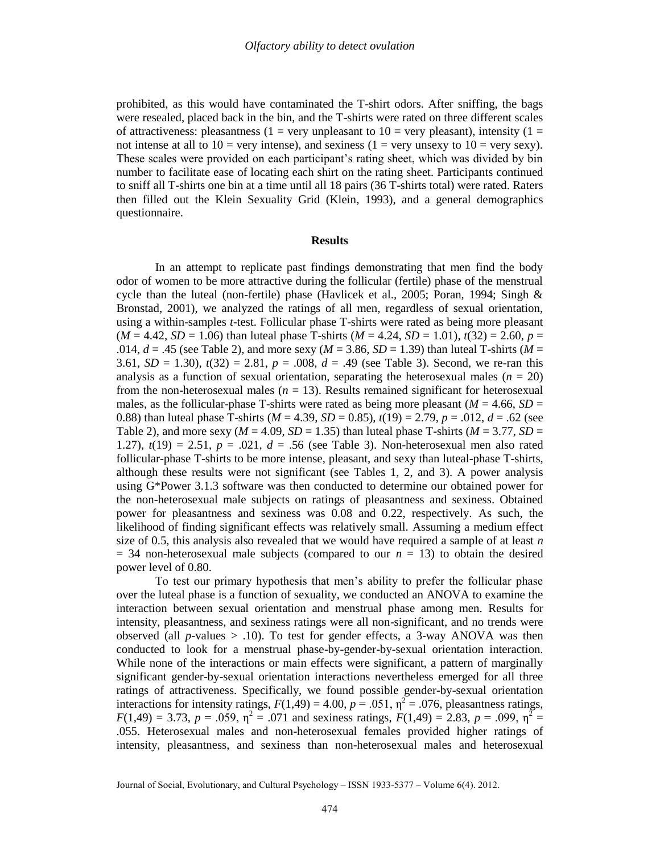prohibited, as this would have contaminated the T-shirt odors. After sniffing, the bags were resealed, placed back in the bin, and the T-shirts were rated on three different scales of attractiveness: pleasantness (1 = very unpleasant to 10 = very pleasant), intensity (1 = not intense at all to  $10 =$  very intense), and sexiness  $(1 =$  very unsexy to  $10 =$  very sexy). These scales were provided on each participant's rating sheet, which was divided by bin number to facilitate ease of locating each shirt on the rating sheet. Participants continued to sniff all T-shirts one bin at a time until all 18 pairs (36 T-shirts total) were rated. Raters then filled out the Klein Sexuality Grid (Klein, 1993), and a general demographics questionnaire.

#### **Results**

In an attempt to replicate past findings demonstrating that men find the body odor of women to be more attractive during the follicular (fertile) phase of the menstrual cycle than the luteal (non-fertile) phase (Havlicek et al., 2005; Poran, 1994; Singh & Bronstad, 2001), we analyzed the ratings of all men, regardless of sexual orientation, using a within-samples *t*-test. Follicular phase T-shirts were rated as being more pleasant  $(M = 4.42, SD = 1.06)$  than luteal phase T-shirts  $(M = 4.24, SD = 1.01)$ ,  $t(32) = 2.60$ ,  $p =$ .014,  $d = 0.45$  (see Table 2), and more sexy ( $M = 3.86$ ,  $SD = 1.39$ ) than luteal T-shirts ( $M = 1.39$ ) 3.61,  $SD = 1.30$ ,  $t(32) = 2.81$ ,  $p = .008$ ,  $d = .49$  (see Table 3). Second, we re-ran this analysis as a function of sexual orientation, separating the heterosexual males  $(n = 20)$ from the non-heterosexual males  $(n = 13)$ . Results remained significant for heterosexual males, as the follicular-phase T-shirts were rated as being more pleasant  $(M = 4.66, SD =$ 0.88) than luteal phase T-shirts ( $M = 4.39$ ,  $SD = 0.85$ ),  $t(19) = 2.79$ ,  $p = .012$ ,  $d = .62$  (see Table 2), and more sexy ( $M = 4.09$ ,  $SD = 1.35$ ) than luteal phase T-shirts ( $M = 3.77$ ,  $SD = 1.35$ ) 1.27),  $t(19) = 2.51$ ,  $p = .021$ ,  $d = .56$  (see Table 3). Non-heterosexual men also rated follicular-phase T-shirts to be more intense, pleasant, and sexy than luteal-phase T-shirts, although these results were not significant (see Tables 1, 2, and 3). A power analysis using G\*Power 3.1.3 software was then conducted to determine our obtained power for the non-heterosexual male subjects on ratings of pleasantness and sexiness. Obtained power for pleasantness and sexiness was 0.08 and 0.22, respectively. As such, the likelihood of finding significant effects was relatively small. Assuming a medium effect size of 0.5, this analysis also revealed that we would have required a sample of at least  $n$  $=$  34 non-heterosexual male subjects (compared to our  $n = 13$ ) to obtain the desired power level of 0.80.

To test our primary hypothesis that men's ability to prefer the follicular phase over the luteal phase is a function of sexuality, we conducted an ANOVA to examine the interaction between sexual orientation and menstrual phase among men. Results for intensity, pleasantness, and sexiness ratings were all non-significant, and no trends were observed (all  $p$ -values  $> .10$ ). To test for gender effects, a 3-way ANOVA was then conducted to look for a menstrual phase-by-gender-by-sexual orientation interaction. While none of the interactions or main effects were significant, a pattern of marginally significant gender-by-sexual orientation interactions nevertheless emerged for all three ratings of attractiveness. Specifically, we found possible gender-by-sexual orientation interactions for intensity ratings,  $F(1,49) = 4.00$ ,  $p = .051$ ,  $p^2 = .076$ , pleasantness ratings,  $F(1,49) = 3.73$ ,  $p = .059$ ,  $\eta^2 = .071$  and sexiness ratings,  $F(1,49) = 2.83$ ,  $p = .099$ ,  $\eta^2 =$ .055. Heterosexual males and non-heterosexual females provided higher ratings of intensity, pleasantness, and sexiness than non-heterosexual males and heterosexual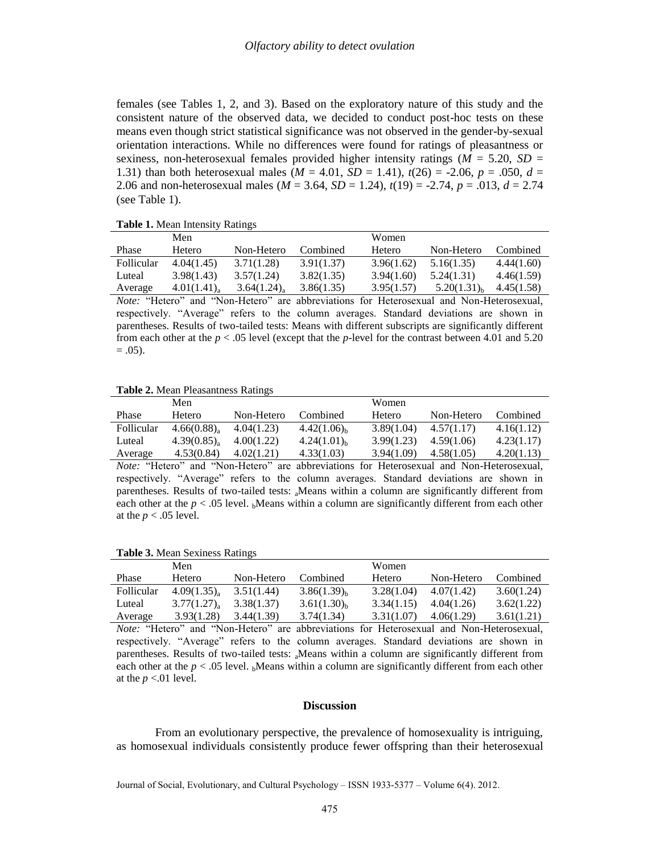females (see Tables 1, 2, and 3). Based on the exploratory nature of this study and the consistent nature of the observed data, we decided to conduct post-hoc tests on these means even though strict statistical significance was not observed in the gender-by-sexual orientation interactions. While no differences were found for ratings of pleasantness or sexiness, non-heterosexual females provided higher intensity ratings (*M* = 5.20, *SD* = 1.31) than both heterosexual males  $(M = 4.01, SD = 1.41)$ ,  $t(26) = -2.06, p = .050, d =$ 2.06 and non-heterosexual males ( $M = 3.64$ ,  $SD = 1.24$ ),  $t(19) = -2.74$ ,  $p = .013$ ,  $d = 2.74$ (see Table 1).

| <b>Table 1.</b> Mean Intensity Natings                                                  |                           |            |            |            |                  |            |  |
|-----------------------------------------------------------------------------------------|---------------------------|------------|------------|------------|------------------|------------|--|
|                                                                                         | Men                       |            |            | Women      |                  |            |  |
| Phase                                                                                   | Hetero                    | Non-Hetero | Combined   | Hetero     | Non-Hetero       | Combined   |  |
| Follicular                                                                              | 4.04(1.45)                | 3.71(1.28) | 3.91(1.37) | 3.96(1.62) | 5.16(1.35)       | 4.44(1.60) |  |
| Luteal                                                                                  | 3.98(1.43)                | 3.57(1.24) | 3.82(1.35) | 3.94(1.60) | 5.24(1.31)       | 4.46(1.59) |  |
| Average                                                                                 | $4.01(1.41)$ <sub>a</sub> | 3.64(1.24) | 3.86(1.35) | 3.95(1.57) | $5.20(1.31)_{h}$ | 4.45(1.58) |  |
| Nate: "Hetero" and "Non Hetero" are abbreviations for Heterosexual and Non Heterosexual |                           |            |            |            |                  |            |  |

**Table 1.** Mean Intensity Ratings

*Note:* "Hetero" and "Non-Hetero" are abbreviations for Heterosexual and Non-Heterosexual, respectively. "Average" refers to the column averages. Standard deviations are shown in parentheses. Results of two-tailed tests: Means with different subscripts are significantly different from each other at the  $p < .05$  level (except that the *p*-level for the contrast between 4.01 and 5.20  $= .05$ ).

#### **Table 2.** Mean Pleasantness Ratings

|            | Men                       |            |                  | Women         |            |            |
|------------|---------------------------|------------|------------------|---------------|------------|------------|
| Phase      | <b>Hetero</b>             | Non-Hetero | Combined         | <b>Hetero</b> | Non-Hetero | Combined   |
| Follicular | 4.66(0.88)                | 4.04(1.23) | $4.42(1.06)_{h}$ | 3.89(1.04)    | 4.57(1.17) | 4.16(1.12) |
| Luteal     | $4.39(0.85)$ <sub>a</sub> | 4.00(1.22) | $4.24(1.01)_{h}$ | 3.99(1.23)    | 4.59(1.06) | 4.23(1.17) |
| Average    | 4.53(0.84)                | 4.02(1.21) | 4.33(1.03)       | 3.94(1.09)    | 4.58(1.05) | 4.20(1.13) |

*Note:* "Hetero" and "Non-Hetero" are abbreviations for Heterosexual and Non-Heterosexual, respectively. "Average" refers to the column averages. Standard deviations are shown in parentheses. Results of two-tailed tests: aMeans within a column are significantly different from each other at the  $p < .05$  level. <sub>b</sub>Means within a column are significantly different from each other at the  $p < .05$  level.

#### **Table 3.** Mean Sexiness Ratings

|            | Men        |            |                  | Women         |            |            |
|------------|------------|------------|------------------|---------------|------------|------------|
| Phase      | Hetero     | Non-Hetero | Combined         | <b>Hetero</b> | Non-Hetero | Combined   |
| Follicular | 4.09(1.35) | 3.51(1.44) | $3.86(1.39)_{h}$ | 3.28(1.04)    | 4.07(1.42) | 3.60(1.24) |
| Luteal     | 3.77(1.27) | 3.38(1.37) | $3.61(1.30)_{h}$ | 3.34(1.15)    | 4.04(1.26) | 3.62(1.22) |
| Average    | 3.93(1.28) | 3.44(1.39) | 3.74(1.34)       | 3.31(1.07)    | 4.06(1.29) | 3.61(1.21) |

*Note:* "Hetero" and "Non-Hetero" are abbreviations for Heterosexual and Non-Heterosexual, respectively. "Average" refers to the column averages. Standard deviations are shown in parentheses. Results of two-tailed tests: aMeans within a column are significantly different from each other at the  $p < 0.05$  level. <sub>b</sub>Means within a column are significantly different from each other at the  $p < 01$  level.

#### **Discussion**

From an evolutionary perspective, the prevalence of homosexuality is intriguing, as homosexual individuals consistently produce fewer offspring than their heterosexual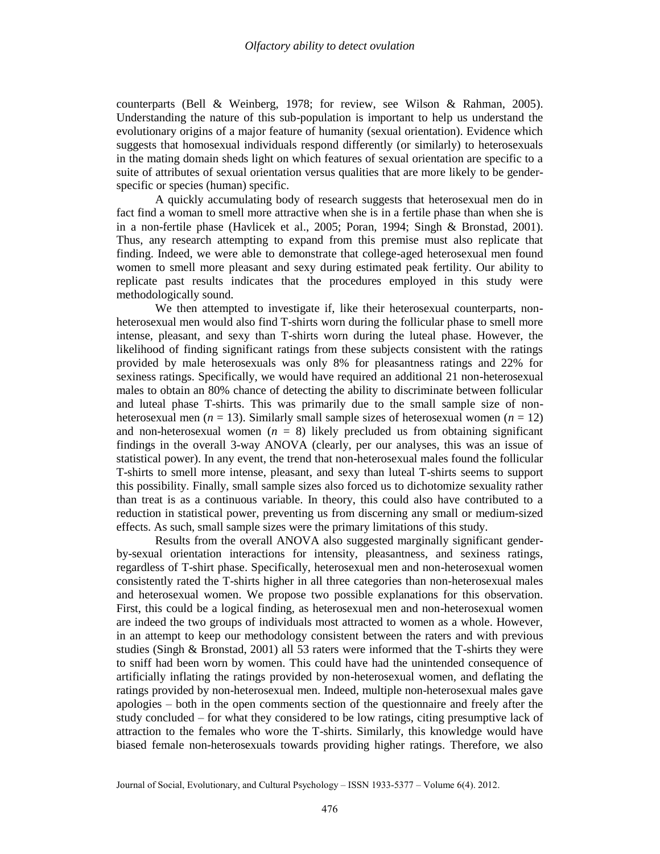counterparts (Bell & Weinberg, 1978; for review, see Wilson & Rahman, 2005). Understanding the nature of this sub-population is important to help us understand the evolutionary origins of a major feature of humanity (sexual orientation). Evidence which suggests that homosexual individuals respond differently (or similarly) to heterosexuals in the mating domain sheds light on which features of sexual orientation are specific to a suite of attributes of sexual orientation versus qualities that are more likely to be genderspecific or species (human) specific.

A quickly accumulating body of research suggests that heterosexual men do in fact find a woman to smell more attractive when she is in a fertile phase than when she is in a non-fertile phase (Havlicek et al., 2005; Poran, 1994; Singh & Bronstad, 2001). Thus, any research attempting to expand from this premise must also replicate that finding. Indeed, we were able to demonstrate that college-aged heterosexual men found women to smell more pleasant and sexy during estimated peak fertility. Our ability to replicate past results indicates that the procedures employed in this study were methodologically sound.

We then attempted to investigate if, like their heterosexual counterparts, nonheterosexual men would also find T-shirts worn during the follicular phase to smell more intense, pleasant, and sexy than T-shirts worn during the luteal phase. However, the likelihood of finding significant ratings from these subjects consistent with the ratings provided by male heterosexuals was only 8% for pleasantness ratings and 22% for sexiness ratings. Specifically, we would have required an additional 21 non-heterosexual males to obtain an 80% chance of detecting the ability to discriminate between follicular and luteal phase T-shirts. This was primarily due to the small sample size of nonheterosexual men (*n* = 13). Similarly small sample sizes of heterosexual women (*n* = 12) and non-heterosexual women  $(n = 8)$  likely precluded us from obtaining significant findings in the overall 3-way ANOVA (clearly, per our analyses, this was an issue of statistical power). In any event, the trend that non-heterosexual males found the follicular T-shirts to smell more intense, pleasant, and sexy than luteal T-shirts seems to support this possibility. Finally, small sample sizes also forced us to dichotomize sexuality rather than treat is as a continuous variable. In theory, this could also have contributed to a reduction in statistical power, preventing us from discerning any small or medium-sized effects. As such, small sample sizes were the primary limitations of this study.

Results from the overall ANOVA also suggested marginally significant genderby-sexual orientation interactions for intensity, pleasantness, and sexiness ratings, regardless of T-shirt phase. Specifically, heterosexual men and non-heterosexual women consistently rated the T-shirts higher in all three categories than non-heterosexual males and heterosexual women. We propose two possible explanations for this observation. First, this could be a logical finding, as heterosexual men and non-heterosexual women are indeed the two groups of individuals most attracted to women as a whole. However, in an attempt to keep our methodology consistent between the raters and with previous studies (Singh & Bronstad, 2001) all 53 raters were informed that the T-shirts they were to sniff had been worn by women. This could have had the unintended consequence of artificially inflating the ratings provided by non-heterosexual women, and deflating the ratings provided by non-heterosexual men. Indeed, multiple non-heterosexual males gave apologies – both in the open comments section of the questionnaire and freely after the study concluded – for what they considered to be low ratings, citing presumptive lack of attraction to the females who wore the T-shirts. Similarly, this knowledge would have biased female non-heterosexuals towards providing higher ratings. Therefore, we also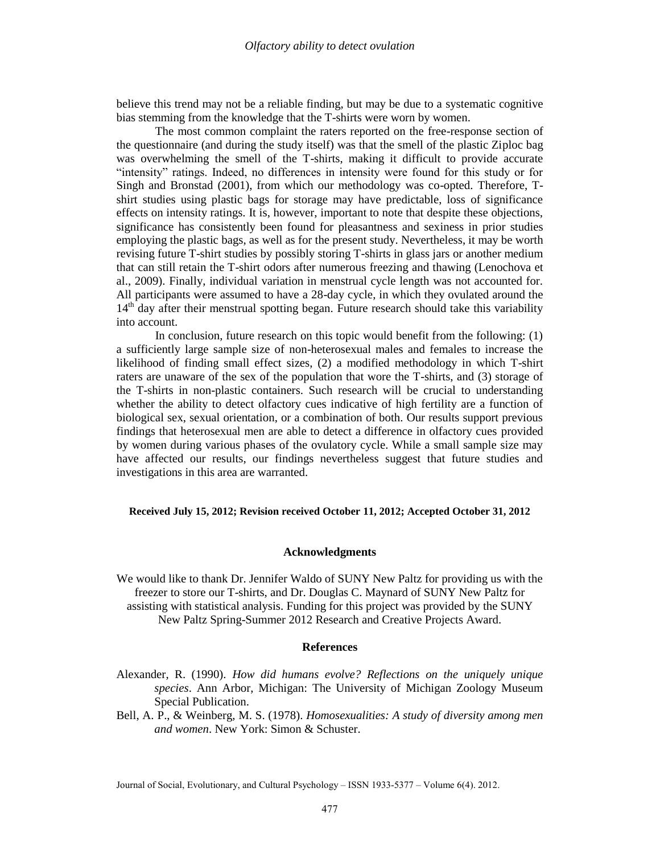believe this trend may not be a reliable finding, but may be due to a systematic cognitive bias stemming from the knowledge that the T-shirts were worn by women.

The most common complaint the raters reported on the free-response section of the questionnaire (and during the study itself) was that the smell of the plastic Ziploc bag was overwhelming the smell of the T-shirts, making it difficult to provide accurate "intensity" ratings. Indeed, no differences in intensity were found for this study or for Singh and Bronstad (2001), from which our methodology was co-opted. Therefore, Tshirt studies using plastic bags for storage may have predictable, loss of significance effects on intensity ratings. It is, however, important to note that despite these objections, significance has consistently been found for pleasantness and sexiness in prior studies employing the plastic bags, as well as for the present study. Nevertheless, it may be worth revising future T-shirt studies by possibly storing T-shirts in glass jars or another medium that can still retain the T-shirt odors after numerous freezing and thawing (Lenochova et al., 2009). Finally, individual variation in menstrual cycle length was not accounted for. All participants were assumed to have a 28-day cycle, in which they ovulated around the 14<sup>th</sup> day after their menstrual spotting began. Future research should take this variability into account.

In conclusion, future research on this topic would benefit from the following: (1) a sufficiently large sample size of non-heterosexual males and females to increase the likelihood of finding small effect sizes, (2) a modified methodology in which T-shirt raters are unaware of the sex of the population that wore the T-shirts, and (3) storage of the T-shirts in non-plastic containers. Such research will be crucial to understanding whether the ability to detect olfactory cues indicative of high fertility are a function of biological sex, sexual orientation, or a combination of both. Our results support previous findings that heterosexual men are able to detect a difference in olfactory cues provided by women during various phases of the ovulatory cycle. While a small sample size may have affected our results, our findings nevertheless suggest that future studies and investigations in this area are warranted.

#### **Received July 15, 2012; Revision received October 11, 2012; Accepted October 31, 2012**

## **Acknowledgments**

We would like to thank Dr. Jennifer Waldo of SUNY New Paltz for providing us with the freezer to store our T-shirts, and Dr. Douglas C. Maynard of SUNY New Paltz for assisting with statistical analysis. Funding for this project was provided by the SUNY New Paltz Spring-Summer 2012 Research and Creative Projects Award.

# **References**

- Alexander, R. (1990). *How did humans evolve? Reflections on the uniquely unique species*. Ann Arbor, Michigan: The University of Michigan Zoology Museum Special Publication.
- Bell, A. P., & Weinberg, M. S. (1978). *Homosexualities: A study of diversity among men and women*. New York: Simon & Schuster.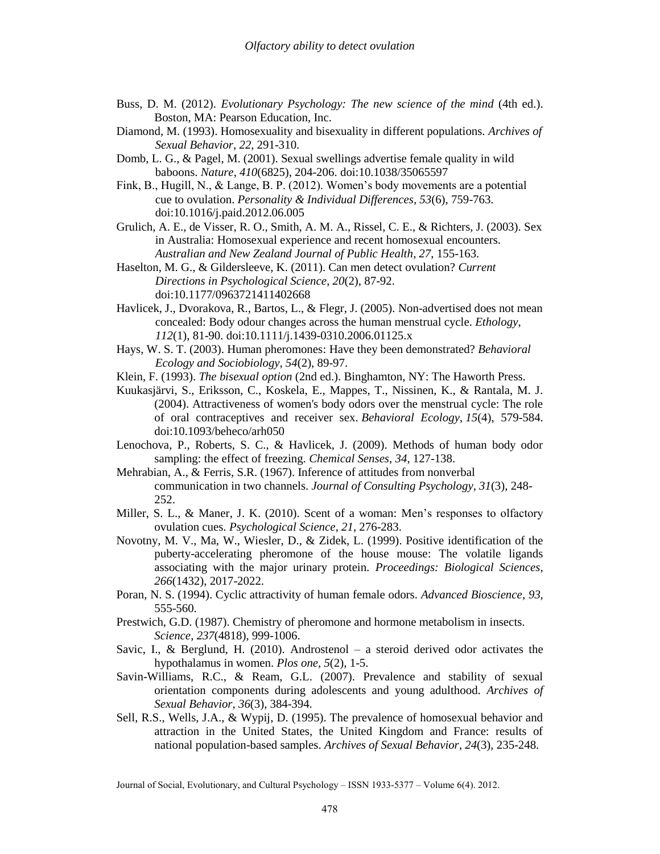- Buss, D. M. (2012). *Evolutionary Psychology: The new science of the mind* (4th ed.). Boston, MA: Pearson Education, Inc.
- Diamond, M. (1993). Homosexuality and bisexuality in different populations. *Archives of Sexual Behavior*, *22*, 291-310.
- Domb, L. G., & Pagel, M. (2001). Sexual swellings advertise female quality in wild baboons. *Nature*, *410*(6825), 204-206. doi:10.1038/35065597
- Fink, B., Hugill, N., & Lange, B. P. (2012). Women's body movements are a potential cue to ovulation. *Personality & Individual Differences*, *53*(6), 759-763. doi:10.1016/j.paid.2012.06.005

Grulich, A. E., de Visser, R. O., Smith, A. M. A., Rissel, C. E., & Richters, J. (2003). Sex in Australia: Homosexual experience and recent homosexual encounters. *Australian and New Zealand Journal of Public Health*, *27*, 155-163.

Haselton, M. G., & Gildersleeve, K. (2011). Can men detect ovulation? *Current Directions in Psychological Science*, *20*(2), 87-92. doi:10.1177/0963721411402668

- Havlicek, J., Dvorakova, R., Bartos, L., & Flegr, J. (2005). Non-advertised does not mean concealed: Body odour changes across the human menstrual cycle. *Ethology*, *112*(1), 81-90. doi:10.1111/j.1439-0310.2006.01125.x
- Hays, W. S. T. (2003). Human pheromones: Have they been demonstrated? *Behavioral Ecology and Sociobiology*, *54*(2), 89-97.
- Klein, F. (1993). *The bisexual option* (2nd ed.). Binghamton, NY: The Haworth Press.
- Kuukasjärvi, S., Eriksson, C., Koskela, E., Mappes, T., Nissinen, K., & Rantala, M. J. (2004). Attractiveness of women's body odors over the menstrual cycle: The role of oral contraceptives and receiver sex. *Behavioral Ecology*, *15*(4), 579-584. doi:10.1093/beheco/arh050
- Lenochova, P., Roberts, S. C., & Havlicek, J. (2009). Methods of human body odor sampling: the effect of freezing. *Chemical Senses*, *34*, 127-138.
- Mehrabian, A., & Ferris, S.R. (1967). Inference of attitudes from nonverbal communication in two channels. *Journal of Consulting Psychology*, *31*(3), 248- 252.
- Miller, S. L., & Maner, J. K. (2010). Scent of a woman: Men's responses to olfactory ovulation cues. *Psychological Science*, *21*, 276-283.
- Novotny, M. V., Ma, W., Wiesler, D., & Zidek, L. (1999). Positive identification of the puberty-accelerating pheromone of the house mouse: The volatile ligands associating with the major urinary protein. *Proceedings: Biological Sciences*, *266*(1432), 2017-2022.
- Poran, N. S. (1994). Cyclic attractivity of human female odors. *Advanced Bioscience*, *93,*  555-560.
- Prestwich, G.D. (1987). Chemistry of pheromone and hormone metabolism in insects. *Science*, *237*(4818), 999-1006.
- Savic, I., & Berglund, H.  $(2010)$ . Androstenol a steroid derived odor activates the hypothalamus in women. *Plos one, 5*(2), 1-5.
- Savin-Williams, R.C., & Ream, G.L. (2007). Prevalence and stability of sexual orientation components during adolescents and young adulthood. *Archives of Sexual Behavior*, *36*(3), 384-394.
- Sell, R.S., Wells, J.A., & Wypij, D. (1995). The prevalence of homosexual behavior and attraction in the United States, the United Kingdom and France: results of national population-based samples. *Archives of Sexual Behavior*, *24*(3), 235-248.

Journal of Social, Evolutionary, and Cultural Psychology – ISSN 1933-5377 – Volume 6(4). 2012.